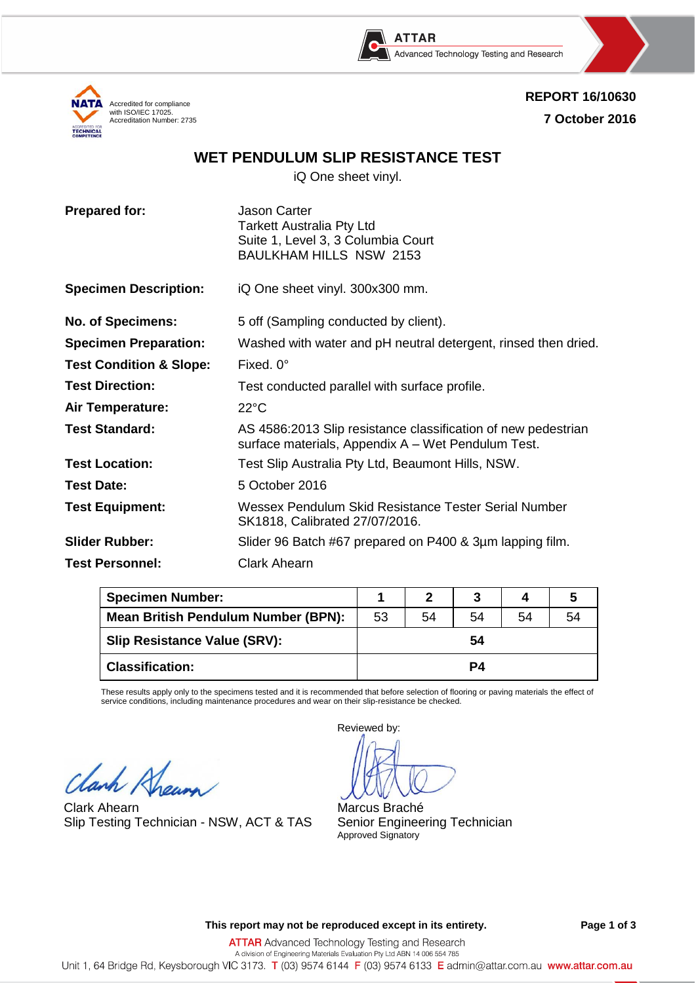





# **WET PENDULUM SLIP RESISTANCE TEST**

iQ One sheet vinyl.

| <b>Prepared for:</b>               | <b>Jason Carter</b><br><b>Tarkett Australia Pty Ltd</b><br>Suite 1, Level 3, 3 Columbia Court<br><b>BAULKHAM HILLS NSW 2153</b> |
|------------------------------------|---------------------------------------------------------------------------------------------------------------------------------|
| <b>Specimen Description:</b>       | iQ One sheet vinyl. 300x300 mm.                                                                                                 |
| <b>No. of Specimens:</b>           | 5 off (Sampling conducted by client).                                                                                           |
| <b>Specimen Preparation:</b>       | Washed with water and pH neutral detergent, rinsed then dried.                                                                  |
| <b>Test Condition &amp; Slope:</b> | Fixed, $0^\circ$                                                                                                                |
| <b>Test Direction:</b>             | Test conducted parallel with surface profile.                                                                                   |
| <b>Air Temperature:</b>            | $22^{\circ}$ C                                                                                                                  |
| <b>Test Standard:</b>              | AS 4586:2013 Slip resistance classification of new pedestrian<br>surface materials, Appendix A - Wet Pendulum Test.             |
| <b>Test Location:</b>              | Test Slip Australia Pty Ltd, Beaumont Hills, NSW.                                                                               |
| <b>Test Date:</b>                  | 5 October 2016                                                                                                                  |
| <b>Test Equipment:</b>             | Wessex Pendulum Skid Resistance Tester Serial Number<br>SK1818, Calibrated 27/07/2016.                                          |
| <b>Slider Rubber:</b>              | Slider 96 Batch #67 prepared on P400 & 3µm lapping film.                                                                        |
| <b>Test Personnel:</b>             | <b>Clark Ahearn</b>                                                                                                             |

| <b>Specimen Number:</b>             |    |    |    |    |    |
|-------------------------------------|----|----|----|----|----|
| Mean British Pendulum Number (BPN): | 53 | 54 | 54 | 54 | 54 |
| Slip Resistance Value (SRV):        | 54 |    |    |    |    |
| <b>Classification:</b>              | P4 |    |    |    |    |

These results apply only to the specimens tested and it is recommended that before selection of flooring or paving materials the effect of service conditions, including maintenance procedures and wear on their slip-resistance be checked.

Clanh Khew

Clark Ahearn Slip Testing Technician - NSW, ACT & TAS

Reviewed by:

Marcus Braché Senior Engineering Technician Approved Signatory

**This report may not be reproduced except in its entirety. Page 1 of 3**

**ATTAR** Advanced Technology Testing and Research A division of Engineering Materials Evaluation Pty Ltd ABN 14 006 554 785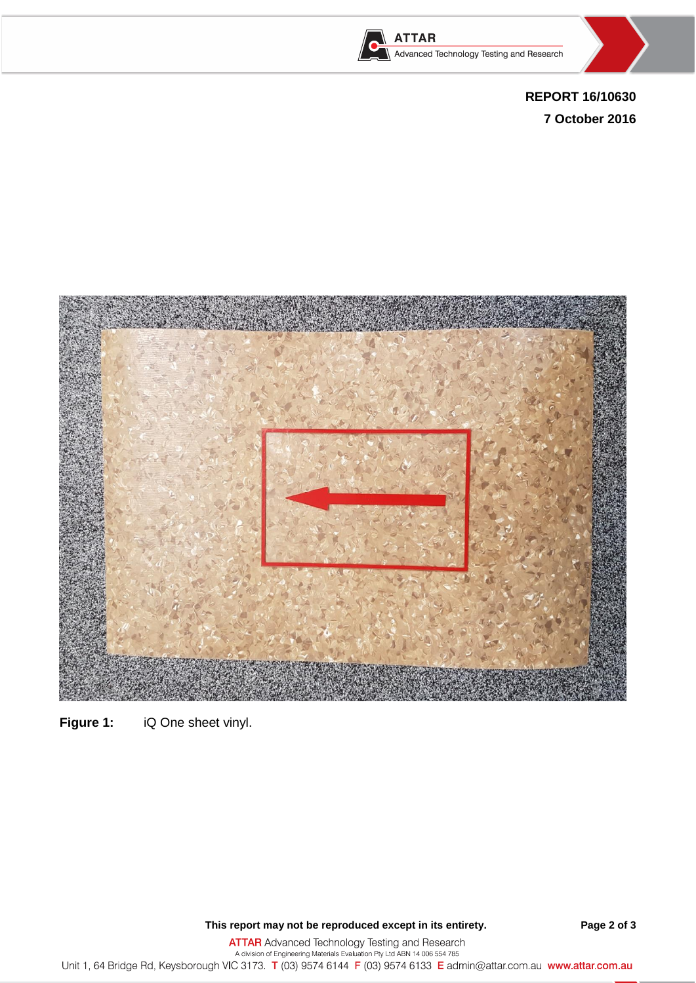





**REPORT 16/10630 7 October 2016**



**Figure 1:** iQ One sheet vinyl.

**This report may not be reproduced except in its entirety. Page 2 of 3**

ATTAR Advanced Technology Testing and Research<br>A division of Engineering Materials Evaluation Pty Ltd ABN 14 006 554 785<br>Unit 1, 64 Bridge Rd, Keysborough VIC 3173. T (03) 9574 6144 F (03) 9574 6133 E admin@attar.com.au ww